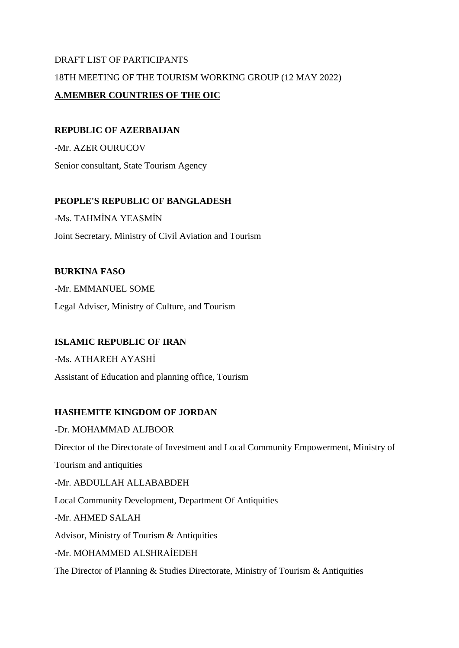# DRAFT LIST OF PARTICIPANTS 18TH MEETING OF THE TOURISM WORKING GROUP (12 MAY 2022) **A.MEMBER COUNTRIES OF THE OIC**

#### **REPUBLIC OF AZERBAIJAN**

-Mr. AZER OURUCOV Senior consultant, State Tourism Agency

# **PEOPLE'S REPUBLIC OF BANGLADESH**

-Ms. TAHMİNA YEASMİN

Joint Secretary, Ministry of Civil Aviation and Tourism

# **BURKINA FASO**

-Mr. EMMANUEL SOME Legal Adviser, Ministry of Culture, and Tourism

# **ISLAMIC REPUBLIC OF IRAN**

-Ms. ATHAREH AYASHİ Assistant of Education and planning office, Tourism

# **HASHEMITE KINGDOM OF JORDAN**

-Dr. MOHAMMAD ALJBOOR Director of the Directorate of Investment and Local Community Empowerment, Ministry of Tourism and antiquities -Mr. ABDULLAH ALLABABDEH Local Community Development, Department Of Antiquities -Mr. AHMED SALAH Advisor, Ministry of Tourism & Antiquities -Mr. MOHAMMED ALSHRAİEDEH The Director of Planning & Studies Directorate, Ministry of Tourism & Antiquities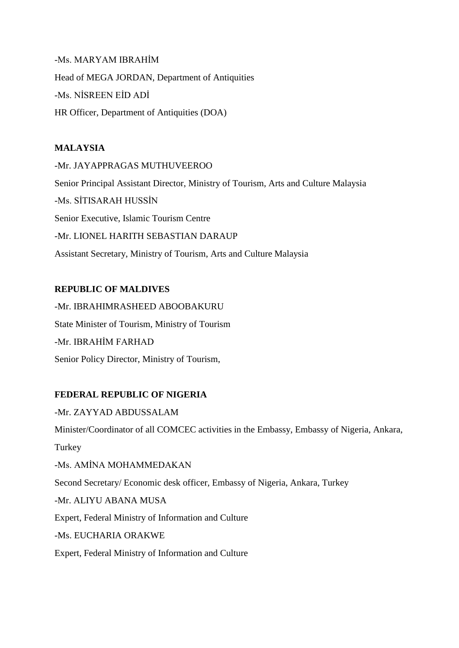-Ms. MARYAM IBRAHİM Head of MEGA JORDAN, Department of Antiquities -Ms. NİSREEN EİD ADİ HR Officer, Department of Antiquities (DOA)

#### **MALAYSIA**

-Mr. JAYAPPRAGAS MUTHUVEEROO

Senior Principal Assistant Director, Ministry of Tourism, Arts and Culture Malaysia

-Ms. SİTISARAH HUSSİN

Senior Executive, Islamic Tourism Centre

-Mr. LIONEL HARITH SEBASTIAN DARAUP

Assistant Secretary, Ministry of Tourism, Arts and Culture Malaysia

# **REPUBLIC OF MALDIVES**

-Mr. IBRAHIMRASHEED ABOOBAKURU State Minister of Tourism, Ministry of Tourism -Mr. IBRAHİM FARHAD Senior Policy Director, Ministry of Tourism,

# **FEDERAL REPUBLIC OF NIGERIA**

-Mr. ZAYYAD ABDUSSALAM Minister/Coordinator of all COMCEC activities in the Embassy, Embassy of Nigeria, Ankara, **Turkey** -Ms. AMİNA MOHAMMEDAKAN Second Secretary/ Economic desk officer, Embassy of Nigeria, Ankara, Turkey -Mr. ALIYU ABANA MUSA Expert, Federal Ministry of Information and Culture -Ms. EUCHARIA ORAKWE

Expert, Federal Ministry of Information and Culture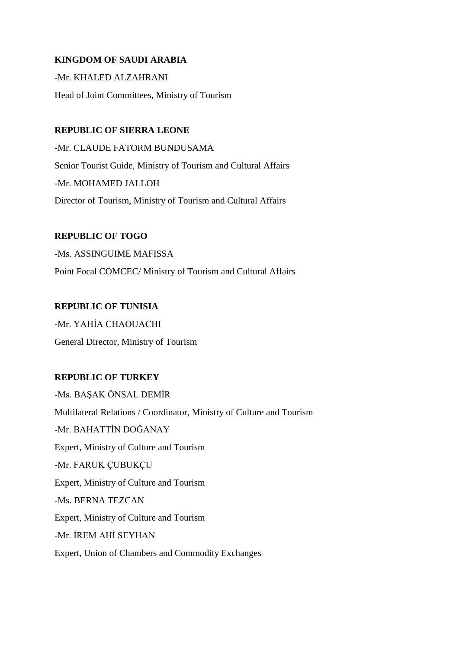#### **KINGDOM OF SAUDI ARABIA**

-Mr. KHALED ALZAHRANI

Head of Joint Committees, Ministry of Tourism

#### **REPUBLIC OF SIERRA LEONE**

-Mr. CLAUDE FATORM BUNDUSAMA Senior Tourist Guide, Ministry of Tourism and Cultural Affairs -Mr. MOHAMED JALLOH Director of Tourism, Ministry of Tourism and Cultural Affairs

#### **REPUBLIC OF TOGO**

-Ms. ASSINGUIME MAFISSA Point Focal COMCEC/ Ministry of Tourism and Cultural Affairs

#### **REPUBLIC OF TUNISIA**

-Mr. YAHİA CHAOUACHI General Director, Ministry of Tourism

#### **REPUBLIC OF TURKEY**

-Ms. BAŞAK ÖNSAL DEMİR Multilateral Relations / Coordinator, Ministry of Culture and Tourism -Mr. BAHATTİN DOĞANAY Expert, Ministry of Culture and Tourism -Mr. FARUK ÇUBUKÇU Expert, Ministry of Culture and Tourism -Ms. BERNA TEZCAN Expert, Ministry of Culture and Tourism -Mr. İREM AHİ SEYHAN Expert, Union of Chambers and Commodity Exchanges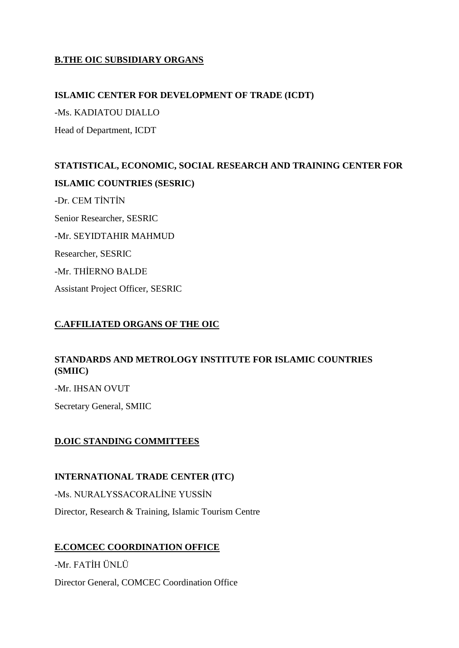# **B.THE OIC SUBSIDIARY ORGANS**

#### **ISLAMIC CENTER FOR DEVELOPMENT OF TRADE (ICDT)**

-Ms. KADIATOU DIALLO Head of Department, ICDT

# **STATISTICAL, ECONOMIC, SOCIAL RESEARCH AND TRAINING CENTER FOR ISLAMIC COUNTRIES (SESRIC)** -Dr. CEM TİNTİN Senior Researcher, SESRIC -Mr. SEYIDTAHIR MAHMUD Researcher, SESRIC -Mr. THİERNO BALDE Assistant Project Officer, SESRIC

# **C.AFFILIATED ORGANS OF THE OIC**

# **STANDARDS AND METROLOGY INSTITUTE FOR ISLAMIC COUNTRIES (SMIIC)**

-Mr. IHSAN OVUT

Secretary General, SMIIC

#### **D.OIC STANDING COMMITTEES**

#### **INTERNATIONAL TRADE CENTER (ITC)**

-Ms. NURALYSSACORALİNE YUSSİN

Director, Research & Training, Islamic Tourism Centre

#### **E.COMCEC COORDINATION OFFICE**

-Mr. FATİH ÜNLÜ Director General, COMCEC Coordination Office